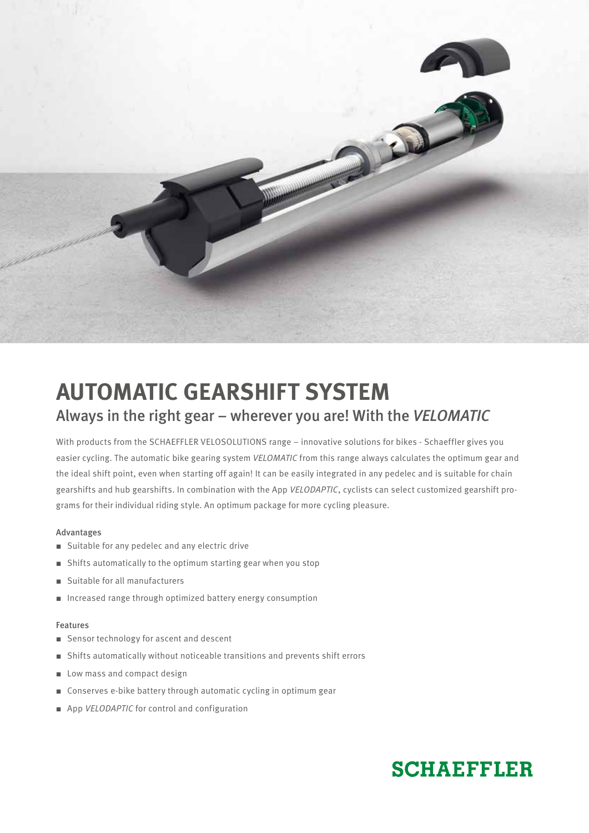

# **AUTOMATIC GEARSHIFT SYSTEM** Always in the right gear – wherever you are! With the *VELOMATIC*

With products from the SCHAEFFLER VELOSOLUTIONS range – innovative solutions for bikes - Schaeffler gives you easier cycling. The automatic bike gearing system *VELOMATIC* from this range always calculates the optimum gear and the ideal shift point, even when starting off again! It can be easily integrated in any pedelec and is suitable for chain gearshifts and hub gearshifts. In combination with the App *VELODAPTIC*, cyclists can select customized gearshift programs for their individual riding style. An optimum package for more cycling pleasure.

## Advantages

- Suitable for any pedelec and any electric drive
- Shifts automatically to the optimum starting gear when you stop
- Suitable for all manufacturers
- Increased range through optimized battery energy consumption

### Features

- Sensor technology for ascent and descent
- Shifts automatically without noticeable transitions and prevents shift errors
- Low mass and compact design
- Conserves e-bike battery through automatic cycling in optimum gear
- App *VELODAPTIC* for control and configuration

## **SCHAEFFLER**